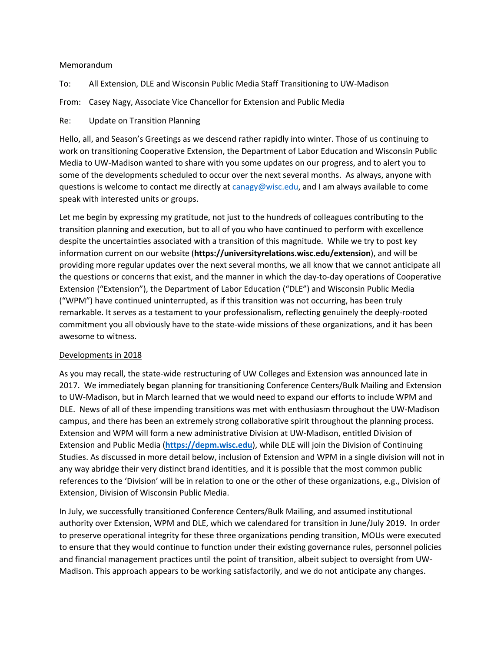## Memorandum

To: All Extension, DLE and Wisconsin Public Media Staff Transitioning to UW-Madison

From: Casey Nagy, Associate Vice Chancellor for Extension and Public Media

Re: Update on Transition Planning

Hello, all, and Season's Greetings as we descend rather rapidly into winter. Those of us continuing to work on transitioning Cooperative Extension, the Department of Labor Education and Wisconsin Public Media to UW-Madison wanted to share with you some updates on our progress, and to alert you to some of the developments scheduled to occur over the next several months. As always, anyone with questions is welcome to contact me directly at canagy@wisc.edu, and I am always available to come speak with interested units or groups.

Let me begin by expressing my gratitude, not just to the hundreds of colleagues contributing to the transition planning and execution, but to all of you who have continued to perform with excellence despite the uncertainties associated with a transition of this magnitude. While we try to post key information current on our website (**https://universityrelations.wisc.edu/extension**), and will be providing more regular updates over the next several months, we all know that we cannot anticipate all the questions or concerns that exist, and the manner in which the day-to-day operations of Cooperative Extension ("Extension"), the Department of Labor Education ("DLE") and Wisconsin Public Media ("WPM") have continued uninterrupted, as if this transition was not occurring, has been truly remarkable. It serves as a testament to your professionalism, reflecting genuinely the deeply-rooted commitment you all obviously have to the state-wide missions of these organizations, and it has been awesome to witness.

## Developments in 2018

As you may recall, the state-wide restructuring of UW Colleges and Extension was announced late in 2017. We immediately began planning for transitioning Conference Centers/Bulk Mailing and Extension to UW-Madison, but in March learned that we would need to expand our efforts to include WPM and DLE. News of all of these impending transitions was met with enthusiasm throughout the UW-Madison campus, and there has been an extremely strong collaborative spirit throughout the planning process. Extension and WPM will form a new administrative Division at UW-Madison, entitled Division of Extension and Public Media (**https://depm.wisc.edu**), while DLE will join the Division of Continuing Studies. As discussed in more detail below, inclusion of Extension and WPM in a single division will not in any way abridge their very distinct brand identities, and it is possible that the most common public references to the 'Division' will be in relation to one or the other of these organizations, e.g., Division of Extension, Division of Wisconsin Public Media.

In July, we successfully transitioned Conference Centers/Bulk Mailing, and assumed institutional authority over Extension, WPM and DLE, which we calendared for transition in June/July 2019. In order to preserve operational integrity for these three organizations pending transition, MOUs were executed to ensure that they would continue to function under their existing governance rules, personnel policies and financial management practices until the point of transition, albeit subject to oversight from UW-Madison. This approach appears to be working satisfactorily, and we do not anticipate any changes.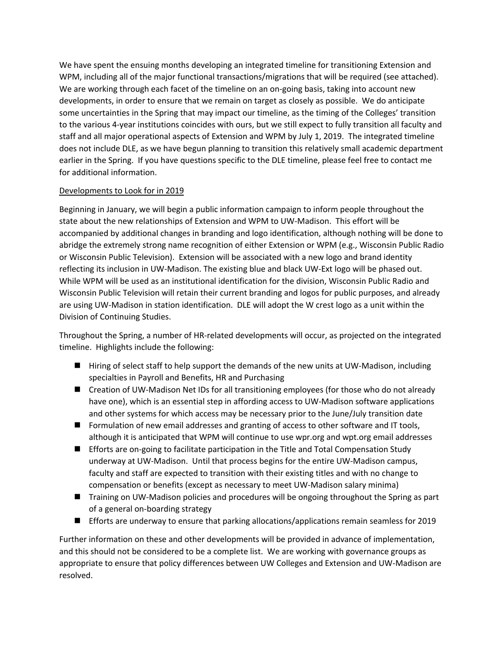We have spent the ensuing months developing an integrated timeline for transitioning Extension and WPM, including all of the major functional transactions/migrations that will be required (see attached). We are working through each facet of the timeline on an on-going basis, taking into account new developments, in order to ensure that we remain on target as closely as possible. We do anticipate some uncertainties in the Spring that may impact our timeline, as the timing of the Colleges' transition to the various 4-year institutions coincides with ours, but we still expect to fully transition all faculty and staff and all major operational aspects of Extension and WPM by July 1, 2019. The integrated timeline does not include DLE, as we have begun planning to transition this relatively small academic department earlier in the Spring. If you have questions specific to the DLE timeline, please feel free to contact me for additional information.

## Developments to Look for in 2019

Beginning in January, we will begin a public information campaign to inform people throughout the state about the new relationships of Extension and WPM to UW-Madison. This effort will be accompanied by additional changes in branding and logo identification, although nothing will be done to abridge the extremely strong name recognition of either Extension or WPM (e.g., Wisconsin Public Radio or Wisconsin Public Television). Extension will be associated with a new logo and brand identity reflecting its inclusion in UW-Madison. The existing blue and black UW-Ext logo will be phased out. While WPM will be used as an institutional identification for the division, Wisconsin Public Radio and Wisconsin Public Television will retain their current branding and logos for public purposes, and already are using UW-Madison in station identification. DLE will adopt the W crest logo as a unit within the Division of Continuing Studies.

Throughout the Spring, a number of HR-related developments will occur, as projected on the integrated timeline. Highlights include the following:

- Hiring of select staff to help support the demands of the new units at UW-Madison, including specialties in Payroll and Benefits, HR and Purchasing
- Creation of UW-Madison Net IDs for all transitioning employees (for those who do not already have one), which is an essential step in affording access to UW-Madison software applications and other systems for which access may be necessary prior to the June/July transition date
- Formulation of new email addresses and granting of access to other software and IT tools, although it is anticipated that WPM will continue to use wpr.org and wpt.org email addresses
- **Efforts are on-going to facilitate participation in the Title and Total Compensation Study** underway at UW-Madison. Until that process begins for the entire UW-Madison campus, faculty and staff are expected to transition with their existing titles and with no change to compensation or benefits (except as necessary to meet UW-Madison salary minima)
- **n** Training on UW-Madison policies and procedures will be ongoing throughout the Spring as part of a general on-boarding strategy
- **n** Efforts are underway to ensure that parking allocations/applications remain seamless for 2019

Further information on these and other developments will be provided in advance of implementation, and this should not be considered to be a complete list. We are working with governance groups as appropriate to ensure that policy differences between UW Colleges and Extension and UW-Madison are resolved.